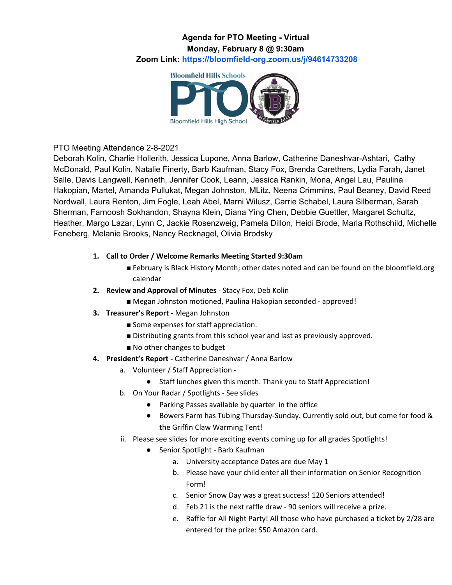### **Agenda for PTO Meeting - Virtual Monday, February 8 @ 9:30am Zoom Link: <https://bloomfield-org.zoom.us/j/94614733208>**



## PTO Meeting Attendance 2-8-2021

Deborah Kolin, Charlie Hollerith, Jessica Lupone, Anna Barlow, Catherine Daneshvar-Ashtari, Cathy McDonald, Paul Kolin, Natalie Finerty, Barb Kaufman, Stacy Fox, Brenda Carethers, Lydia Farah, Janet Salle, Davis Langwell, Kenneth, Jennifer Cook, Leann, Jessica Rankin, Mona, Angel Lau, Paulina Hakopian, Martel, Amanda Pullukat, Megan Johnston, MLitz, Neena Crimmins, Paul Beaney, David Reed Nordwall, Laura Renton, Jim Fogle, Leah Abel, Marni Wilusz, Carrie Schabel, Laura Silberman, Sarah Sherman, Farnoosh Sokhandon, Shayna Klein, Diana Ying Chen, Debbie Guettler, Margaret Schultz, Heather, Margo Lazar, Lynn C, Jackie Rosenzweig, Pamela Dillon, Heidi Brode, Marla Rothschild, Michelle Feneberg, Melanie Brooks, Nancy Recknagel, Olivia Brodsky

#### **1. Call to Order / Welcome Remarks Meeting Started 9:30am**

- February is Black History Month; other dates noted and can be found on the bloomfield.org calendar
- **2. Review and Approval of Minutes** Stacy Fox, Deb Kolin
	- Megan Johnston motioned, Paulina Hakopian seconded approved!
- **3. Treasurer's Report -** Megan Johnston
	- Some expenses for staff appreciation.
	- Distributing grants from this school year and last as previously approved.
	- No other changes to budget
- **4. President's Report -** Catherine Daneshvar / Anna Barlow
	- a. Volunteer / Staff Appreciation
		- Staff lunches given this month. Thank you to Staff Appreciation!
	- b. On Your Radar / Spotlights See slides
		- Parking Passes available by quarter in the office
		- Bowers Farm has Tubing Thursday-Sunday. Currently sold out, but come for food & the Griffin Claw Warming Tent!
	- ii. Please see slides for more exciting events coming up for all grades Spotlights!
		- Senior Spotlight Barb Kaufman
			- a. University acceptance Dates are due May 1
			- b. Please have your child enter all their information on Senior Recognition Form!
			- c. Senior Snow Day was a great success! 120 Seniors attended!
			- d. Feb 21 is the next raffle draw 90 seniors will receive a prize.
			- e. Raffle for All Night Party! All those who have purchased a ticket by 2/28 are entered for the prize: \$50 Amazon card.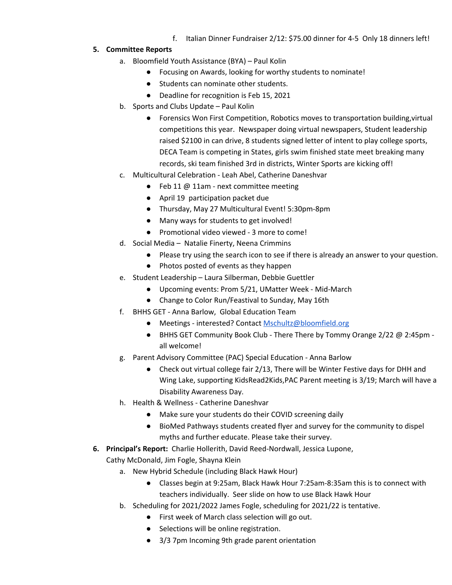f. Italian Dinner Fundraiser 2/12: \$75.00 dinner for 4-5 Only 18 dinners left!

#### **5. Committee Reports**

- a. Bloomfield Youth Assistance (BYA) Paul Kolin
	- Focusing on Awards, looking for worthy students to nominate!
	- Students can nominate other students.
	- Deadline for recognition is Feb 15, 2021
- b. Sports and Clubs Update Paul Kolin
	- Forensics Won First Competition, Robotics moves to transportation building,virtual competitions this year. Newspaper doing virtual newspapers, Student leadership raised \$2100 in can drive, 8 students signed letter of intent to play college sports, DECA Team is competing in States, girls swim finished state meet breaking many records, ski team finished 3rd in districts, Winter Sports are kicking off!
- c. Multicultural Celebration Leah Abel, Catherine Daneshvar
	- Feb 11 @ 11am next committee meeting
	- April 19 participation packet due
	- Thursday, May 27 Multicultural Event! 5:30pm-8pm
	- Many ways for students to get involved!
	- Promotional video viewed 3 more to come!
- d. Social Media Natalie Finerty, Neena Crimmins
	- Please try using the search icon to see if there is already an answer to your question.
	- Photos posted of events as they happen
- e. Student Leadership Laura Silberman, Debbie Guettler
	- Upcoming events: Prom 5/21, UMatter Week Mid-March
	- Change to Color Run/Feastival to Sunday, May 16th
- f. BHHS GET Anna Barlow, Global Education Team
	- Meetings interested? Contact [Mschultz@bloomfield.org](mailto:Mschultz@bloomfield.org)
	- BHHS GET Community Book Club There There by Tommy Orange 2/22 @ 2:45pm all welcome!
- g. Parent Advisory Committee (PAC) Special Education Anna Barlow
	- Check out virtual college fair 2/13, There will be Winter Festive days for DHH and Wing Lake, supporting KidsRead2Kids,PAC Parent meeting is 3/19; March will have a Disability Awareness Day.
- h. Health & Wellness Catherine Daneshvar
	- Make sure your students do their COVID screening daily
	- BioMed Pathways students created flyer and survey for the community to dispel myths and further educate. Please take their survey.
- **6. Principal's Report:** Charlie Hollerith, David Reed-Nordwall, Jessica Lupone,

Cathy McDonald, Jim Fogle, Shayna Klein

- a. New Hybrid Schedule (including Black Hawk Hour)
	- Classes begin at 9:25am, Black Hawk Hour 7:25am-8:35am this is to connect with teachers individually. Seer slide on how to use Black Hawk Hour
- b. Scheduling for 2021/2022 James Fogle, scheduling for 2021/22 is tentative.
	- First week of March class selection will go out.
	- Selections will be online registration.
	- 3/3 7pm Incoming 9th grade parent orientation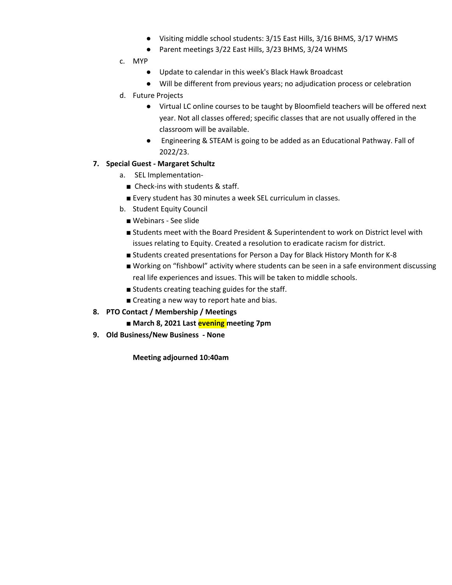- Visiting middle school students: 3/15 East Hills, 3/16 BHMS, 3/17 WHMS
- Parent meetings 3/22 East Hills, 3/23 BHMS, 3/24 WHMS
- c. MYP
	- Update to calendar in this week's Black Hawk Broadcast
	- Will be different from previous years; no adjudication process or celebration
- d. Future Projects
	- Virtual LC online courses to be taught by Bloomfield teachers will be offered next year. Not all classes offered; specific classes that are not usually offered in the classroom will be available.
	- Engineering & STEAM is going to be added as an Educational Pathway. Fall of 2022/23.

#### **7. Special Guest - Margaret Schultz**

- a. SEL Implementation-
	- Check-ins with students & staff.
	- Every student has 30 minutes a week SEL curriculum in classes.
- b. Student Equity Council
	- Webinars See slide
	- Students meet with the Board President & Superintendent to work on District level with issues relating to Equity. Created a resolution to eradicate racism for district.
	- Students created presentations for Person a Day for Black History Month for K-8
	- Working on "fishbowl" activity where students can be seen in a safe environment discussing real life experiences and issues. This will be taken to middle schools.
	- Students creating teaching guides for the staff.
	- Creating a new way to report hate and bias.
- **8. PTO Contact / Membership / Meetings**
	- **March 8, 2021 Last evening meeting 7pm**
- **9. Old Business/New Business - None**

**Meeting adjourned 10:40am**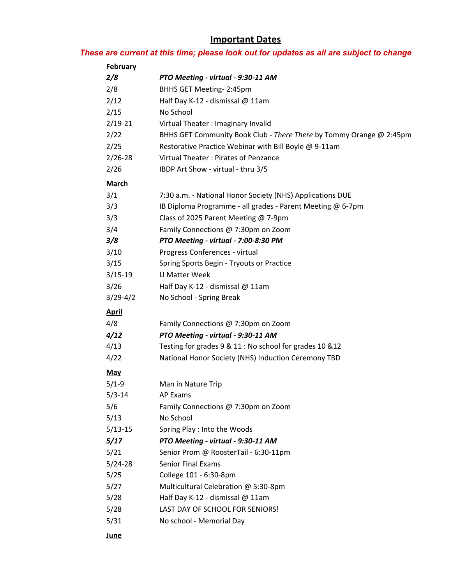# **Important Dates**

## *These are current at this time; please look out for updates as all are subject to change*

| <b>February</b> |                                                                     |
|-----------------|---------------------------------------------------------------------|
| 2/8             | PTO Meeting - virtual - 9:30-11 AM                                  |
| 2/8             | BHHS GET Meeting-2:45pm                                             |
| 2/12            | Half Day K-12 - dismissal @ 11am                                    |
| 2/15            | No School                                                           |
| $2/19-21$       | Virtual Theater: Imaginary Invalid                                  |
| 2/22            | BHHS GET Community Book Club - There There by Tommy Orange @ 2:45pm |
| 2/25            | Restorative Practice Webinar with Bill Boyle @ 9-11am               |
| $2/26 - 28$     | Virtual Theater: Pirates of Penzance                                |
| 2/26            | IBDP Art Show - virtual - thru 3/5                                  |
| <b>March</b>    |                                                                     |
| 3/1             | 7:30 a.m. - National Honor Society (NHS) Applications DUE           |
| 3/3             | IB Diploma Programme - all grades - Parent Meeting @ 6-7pm          |
| 3/3             | Class of 2025 Parent Meeting @ 7-9pm                                |
| 3/4             | Family Connections @ 7:30pm on Zoom                                 |
| 3/8             | PTO Meeting - virtual - 7:00-8:30 PM                                |
| 3/10            | Progress Conferences - virtual                                      |
| 3/15            | Spring Sports Begin - Tryouts or Practice                           |
| $3/15-19$       | <b>U Matter Week</b>                                                |
| 3/26            | Half Day K-12 - dismissal @ 11am                                    |
| $3/29-4/2$      | No School - Spring Break                                            |
| <u>April</u>    |                                                                     |
| 4/8             | Family Connections @ 7:30pm on Zoom                                 |
| 4/12            | PTO Meeting - virtual - 9:30-11 AM                                  |
| 4/13            | Testing for grades 9 & 11 : No school for grades 10 & 12            |
| 4/22            | National Honor Society (NHS) Induction Ceremony TBD                 |
| <b>May</b>      |                                                                     |
| $5/1-9$         | Man in Nature Trip                                                  |
| $5/3 - 14$      | AP Exams                                                            |
| 5/6             | Family Connections @ 7:30pm on Zoom                                 |
| 5/13            | No School                                                           |
| $5/13-15$       | Spring Play : Into the Woods                                        |
| 5/17            | PTO Meeting - virtual - 9:30-11 AM                                  |
| 5/21            | Senior Prom @ RoosterTail - 6:30-11pm                               |
| $5/24 - 28$     | <b>Senior Final Exams</b>                                           |
| 5/25            | College 101 - 6:30-8pm                                              |
| 5/27            | Multicultural Celebration @ 5:30-8pm                                |
| 5/28            | Half Day K-12 - dismissal @ 11am                                    |
| 5/28            | LAST DAY OF SCHOOL FOR SENIORS!                                     |
| 5/31            | No school - Memorial Day                                            |
| <b>June</b>     |                                                                     |